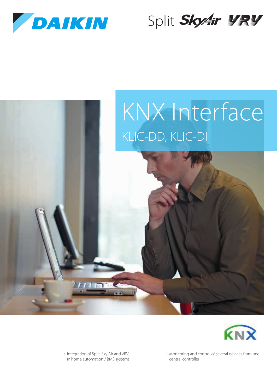

# Split SkyAir 野尾





› Integration of Split, Sky Air and VRV in home automation / BMS systems › Monitoring and control of several devices from one central controller